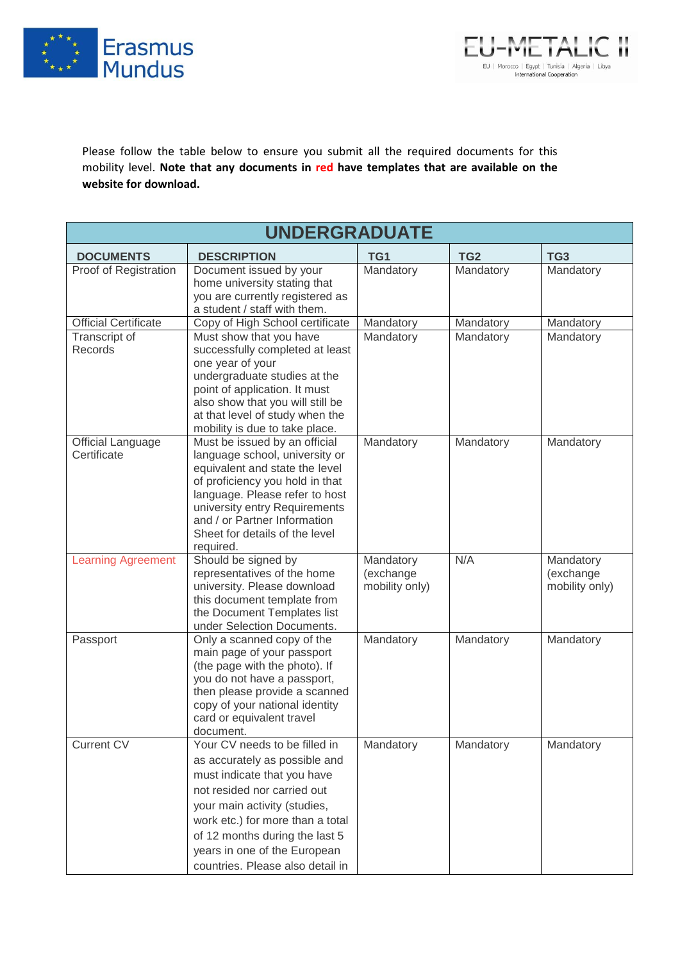



Please follow the table below to ensure you submit all the required documents for this mobility level. **Note that any documents in red have templates that are available on the website for download.**

| <b>UNDERGRADUATE</b>                    |                                                                                                                                                                                                                                                                                                        |                                          |                 |                                          |  |  |
|-----------------------------------------|--------------------------------------------------------------------------------------------------------------------------------------------------------------------------------------------------------------------------------------------------------------------------------------------------------|------------------------------------------|-----------------|------------------------------------------|--|--|
| <b>DOCUMENTS</b>                        | <b>DESCRIPTION</b>                                                                                                                                                                                                                                                                                     | TG1                                      | TG <sub>2</sub> | TG <sub>3</sub>                          |  |  |
| Proof of Registration                   | Document issued by your<br>home university stating that<br>you are currently registered as<br>a student / staff with them.                                                                                                                                                                             | Mandatory                                | Mandatory       | Mandatory                                |  |  |
| <b>Official Certificate</b>             | Copy of High School certificate                                                                                                                                                                                                                                                                        | Mandatory                                | Mandatory       | Mandatory                                |  |  |
| Transcript of<br>Records                | Must show that you have<br>successfully completed at least<br>one year of your<br>undergraduate studies at the<br>point of application. It must<br>also show that you will still be<br>at that level of study when the<br>mobility is due to take place.                                               | Mandatory                                | Mandatory       | Mandatory                                |  |  |
| <b>Official Language</b><br>Certificate | Must be issued by an official<br>language school, university or<br>equivalent and state the level<br>of proficiency you hold in that<br>language. Please refer to host<br>university entry Requirements<br>and / or Partner Information<br>Sheet for details of the level<br>required.                 | Mandatory                                | Mandatory       | Mandatory                                |  |  |
| <b>Learning Agreement</b>               | Should be signed by<br>representatives of the home<br>university. Please download<br>this document template from<br>the Document Templates list<br>under Selection Documents.                                                                                                                          | Mandatory<br>(exchange<br>mobility only) | N/A             | Mandatory<br>(exchange<br>mobility only) |  |  |
| Passport                                | Only a scanned copy of the<br>main page of your passport<br>(the page with the photo). If<br>you do not have a passport,<br>then please provide a scanned<br>copy of your national identity<br>card or equivalent travel<br>document.                                                                  | Mandatory                                | Mandatory       | Mandatory                                |  |  |
| <b>Current CV</b>                       | Your CV needs to be filled in<br>as accurately as possible and<br>must indicate that you have<br>not resided nor carried out<br>your main activity (studies,<br>work etc.) for more than a total<br>of 12 months during the last 5<br>years in one of the European<br>countries. Please also detail in | Mandatory                                | Mandatory       | Mandatory                                |  |  |